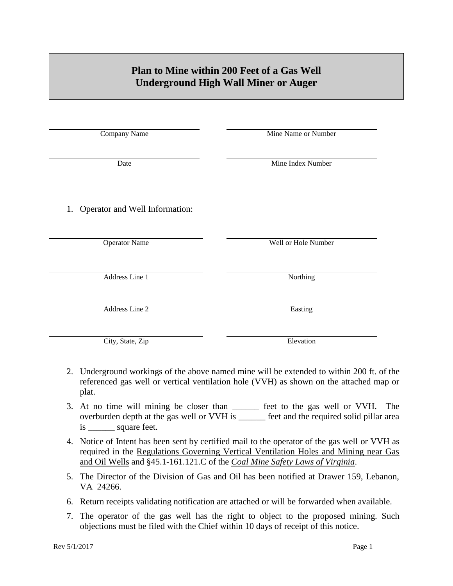## **Plan to Mine within 200 Feet of a Gas Well Underground High Wall Miner or Auger**

| Company Name                      | Mine Name or Number |
|-----------------------------------|---------------------|
| Date                              | Mine Index Number   |
| 1. Operator and Well Information: |                     |
| <b>Operator Name</b>              | Well or Hole Number |
| Address Line 1                    | Northing            |
| Address Line 2                    | Easting             |
| City, State, Zip                  | Elevation           |

- 2. Underground workings of the above named mine will be extended to within 200 ft. of the referenced gas well or vertical ventilation hole (VVH) as shown on the attached map or plat.
- 3. At no time will mining be closer than \_\_\_\_\_\_ feet to the gas well or VVH. The overburden depth at the gas well or VVH is \_\_\_\_\_\_ feet and the required solid pillar area is \_\_\_\_\_\_ square feet.
- 4. Notice of Intent has been sent by certified mail to the operator of the gas well or VVH as required in the Regulations Governing Vertical Ventilation Holes and Mining near Gas and Oil Wells and §45.1-161.121.C of the *Coal Mine Safety Laws of Virginia*.
- 5. The Director of the Division of Gas and Oil has been notified at Drawer 159, Lebanon, VA 24266.
- 6. Return receipts validating notification are attached or will be forwarded when available.
- 7. The operator of the gas well has the right to object to the proposed mining. Such objections must be filed with the Chief within 10 days of receipt of this notice.